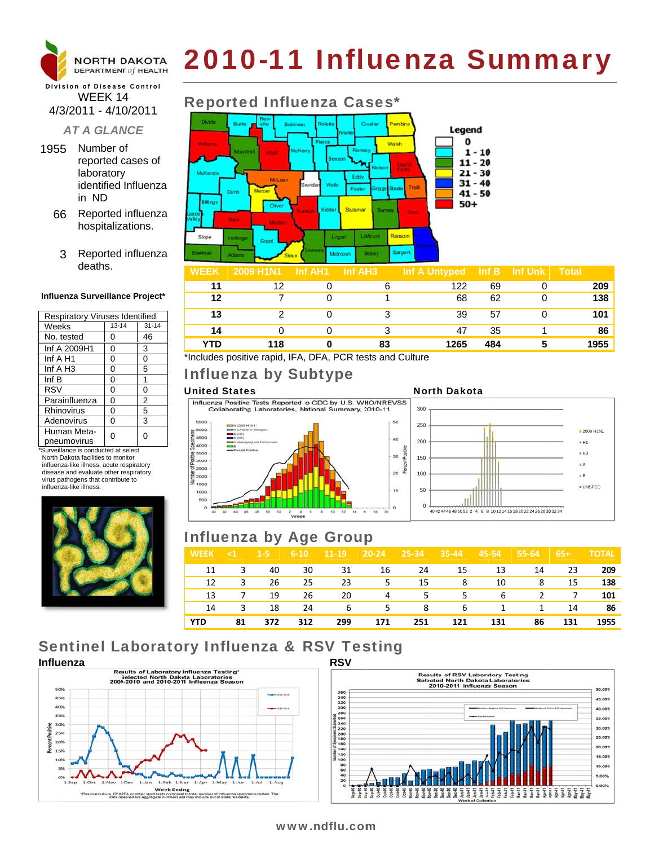

# 2010-11 Influenza Summary

### **Division of Disease Control** WEEK 14 4/3/2011 - 4/10/2011

### **AT A GLANCE**

- 1955 Number of reported cases of laboratory identified Influenza in ND
	- 66 Reported influenza hospitalizations.
		- 3 Reported influenza deaths.

### Influenza Surveillance Project\*

| <b>Respiratory Viruses Identified</b> |           |           |  |  |  |  |
|---------------------------------------|-----------|-----------|--|--|--|--|
| Weeks                                 | $13 - 14$ | $31 - 14$ |  |  |  |  |
| No. tested                            | 0         | 46        |  |  |  |  |
| Inf A 2009H1                          | 0         | 3         |  |  |  |  |
| Inf A H1                              | 0         | 0         |  |  |  |  |
| Inf A H3                              | 0         | 5         |  |  |  |  |
| Inf B                                 | 0         | 1         |  |  |  |  |
| <b>RSV</b>                            | 0         | 0         |  |  |  |  |
| Parainfluenza                         | 0         | 2         |  |  |  |  |
| Rhinovirus                            | 0         | 5         |  |  |  |  |
| Adenovirus                            | 0         | 3         |  |  |  |  |
| Human Meta-<br>pneumovirus            |           | 0         |  |  |  |  |

\*Surveillance is conducted at select North Dakota facilities to monitor influenza-like illness, acute respiratory disease and evaluate other respiratory virus pathogens that contribute to influenza-like illness



# **Reported Influenza Cases\***



|     | 2009 H1N1 | Inf AH1 | Inf AH <sub>3</sub> | Inf A Untyped | Inf B | Inf Unk | <b>Total</b> |
|-----|-----------|---------|---------------------|---------------|-------|---------|--------------|
|     | 12        |         |                     | 122           | 69    |         | 209          |
| 12  |           |         |                     | 68            | 62    |         | 138          |
| 13  |           |         |                     | 39            | 57    |         | 101          |
| 14  |           |         |                     | 47            | 35    |         | 86           |
| YTD | 118       |         | 83                  | 1265          | 484   |         | 1955         |

\*Includes positive rapid, IFA, DFA, PCR tests and Culture

# Influenza by Subtype

### **United States**

Influenza Positive Tests Reported to CDC by U.S. WHO/NREVSS Collaborating Laboratories, National Summary, 2010-11



### **North Dakota**



# **Influenza by Age Group**

| <b>WEEK</b> | $\leq 1$ | $1 - 5$ | $6 - 10$ | $11 - 19$ | $20 - 24$ | 25-34 | $35-44$ | 45-54 | 55-64 | $65+$ | <b>TOTAL</b> |
|-------------|----------|---------|----------|-----------|-----------|-------|---------|-------|-------|-------|--------------|
| 11          | 3        | 40      | 30       | 31        | 16        | 24    | 15      | 13    | 14    | 23    | 209          |
| 12          | 3        | 26      | 25       | 23        | 5         | 15    | 8       | 10    | 8     | 15    | 138          |
| 13          |          | 19      | 26       | 20        | 4         | 5.    | 5.      | 6     | 2     | 7     | 101          |
| 14          | 3        | 18      | 24       | 6         | 5         | 8     | 6       | 1     | 1     | 14    | 86           |
| <b>YTD</b>  | 81       | 372     | 312      | 299       | 171       | 251   | 121     | 131   | 86    | 131   | 1955         |

# **Sentinel Laboratory Influenza & RSV Testing**